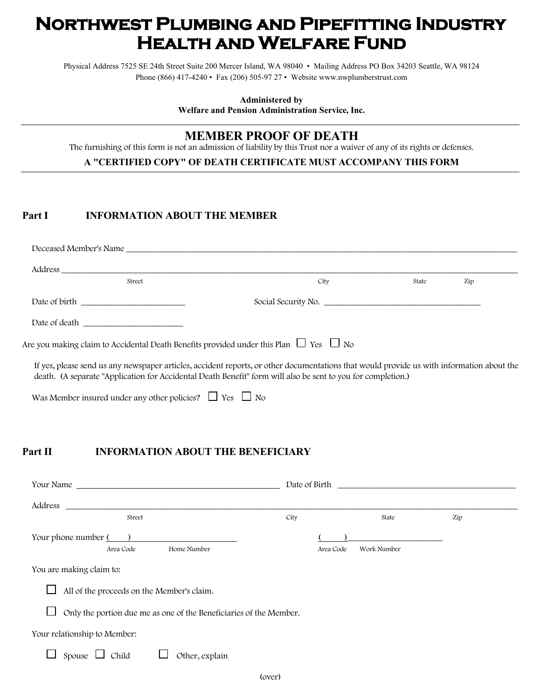# **Northwest Plumbing and Pipefitting Industry Health and Welfare Fund**

Physical Address 7525 SE 24th Street Suite 200 Mercer Island, WA 98040 • Mailing Address PO Box 34203 Seattle, WA 98124 Phone (866) 417-4240 • Fax (206) 505-97 27 • Website www.nwplumberstrust.com

**Administered by** 

**Welfare and Pension Administration Service, Inc.** 

## **MEMBER PROOF OF DEATH**

The furnishing of this form is not an admission of liability by this Trust nor a waiver of any of its rights or defenses.

#### **A "CERTIFIED COPY" OF DEATH CERTIFICATE MUST ACCOMPANY THIS FORM**

#### Part I **INFORMATION ABOUT THE MEMBER**

| Street | City                                                                                                                                                                                                                                                      | State | Zip |  |
|--------|-----------------------------------------------------------------------------------------------------------------------------------------------------------------------------------------------------------------------------------------------------------|-------|-----|--|
|        |                                                                                                                                                                                                                                                           |       |     |  |
|        |                                                                                                                                                                                                                                                           |       |     |  |
|        | Are you making claim to Accidental Death Benefits provided under this Plan $\Box$ Yes $\Box$ No                                                                                                                                                           |       |     |  |
|        | If yes, please send us any newspaper articles, accident reports, or other documentations that would provide us with information about the<br>death. (A separate "Application for Accidental Death Benefit" form will also be sent to you for completion.) |       |     |  |

Was Member insured under any other policies?  $\Box$  Yes  $\Box$  No

#### Part II **INFORMATION ABOUT THE BENEFICIARY**

| Your Name                                                          | Date of Birth |             |     |  |
|--------------------------------------------------------------------|---------------|-------------|-----|--|
| Address                                                            |               |             |     |  |
| Street                                                             | City          | State       | Zip |  |
| Your phone number $($ )<br>Home Number<br>Area Code                | Area Code     | Work Number |     |  |
| You are making claim to:                                           |               |             |     |  |
| All of the proceeds on the Member's claim.                         |               |             |     |  |
| Only the portion due me as one of the Beneficiaries of the Member. |               |             |     |  |
| Your relationship to Member:                                       |               |             |     |  |
| Child<br>Other, explain<br>Spouse                                  |               |             |     |  |
|                                                                    | (over)        |             |     |  |